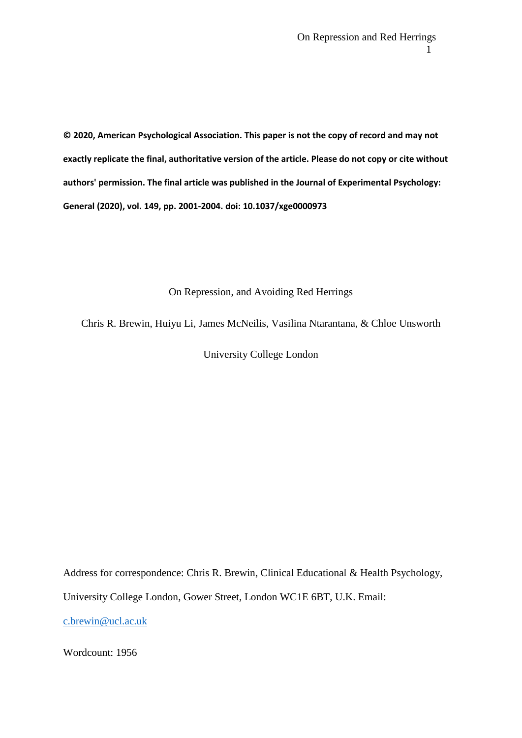**© 2020, American Psychological Association. This paper is not the copy of record and may not exactly replicate the final, authoritative version of the article. Please do not copy or cite without authors' permission. The final article was published in the Journal of Experimental Psychology: General (2020), vol. 149, pp. 2001-2004. doi: 10.1037/xge0000973**

On Repression, and Avoiding Red Herrings

Chris R. Brewin, Huiyu Li, James McNeilis, Vasilina Ntarantana, & Chloe Unsworth

University College London

Address for correspondence: Chris R. Brewin, Clinical Educational & Health Psychology,

University College London, Gower Street, London WC1E 6BT, U.K. Email:

[c.brewin@ucl.ac.uk](mailto:c.brewin@ucl.ac.uk)

Wordcount: 1956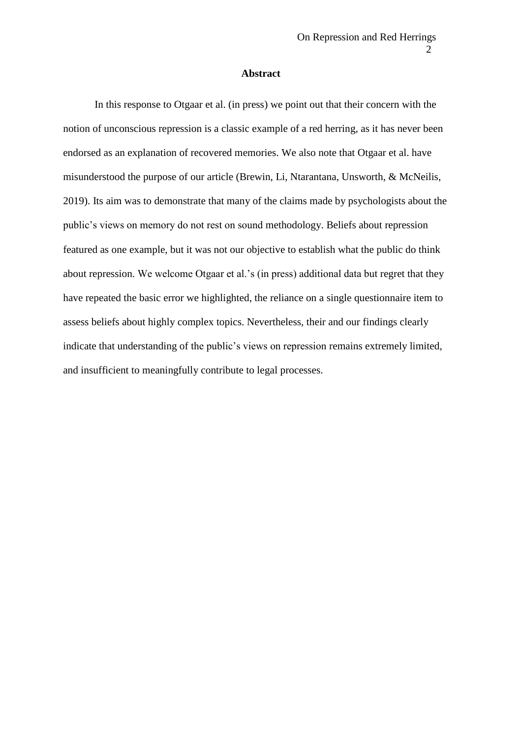## **Abstract**

In this response to Otgaar et al. (in press) we point out that their concern with the notion of unconscious repression is a classic example of a red herring, as it has never been endorsed as an explanation of recovered memories. We also note that Otgaar et al. have misunderstood the purpose of our article (Brewin, Li, Ntarantana, Unsworth, & McNeilis, 2019). Its aim was to demonstrate that many of the claims made by psychologists about the public's views on memory do not rest on sound methodology. Beliefs about repression featured as one example, but it was not our objective to establish what the public do think about repression. We welcome Otgaar et al.'s (in press) additional data but regret that they have repeated the basic error we highlighted, the reliance on a single questionnaire item to assess beliefs about highly complex topics. Nevertheless, their and our findings clearly indicate that understanding of the public's views on repression remains extremely limited, and insufficient to meaningfully contribute to legal processes.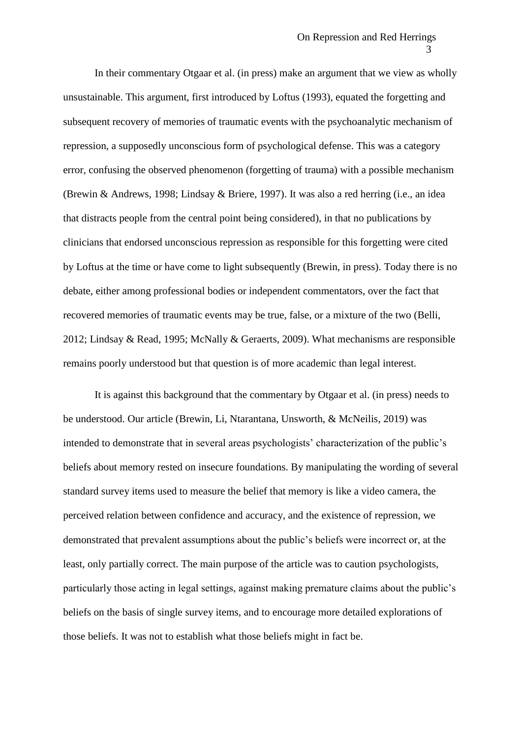In their commentary Otgaar et al. (in press) make an argument that we view as wholly unsustainable. This argument, first introduced by Loftus (1993), equated the forgetting and subsequent recovery of memories of traumatic events with the psychoanalytic mechanism of repression, a supposedly unconscious form of psychological defense. This was a category error, confusing the observed phenomenon (forgetting of trauma) with a possible mechanism (Brewin & Andrews, 1998; Lindsay & Briere, 1997). It was also a red herring (i.e., an idea that distracts people from the central point being considered), in that no publications by clinicians that endorsed unconscious repression as responsible for this forgetting were cited by Loftus at the time or have come to light subsequently (Brewin, in press). Today there is no debate, either among professional bodies or independent commentators, over the fact that recovered memories of traumatic events may be true, false, or a mixture of the two (Belli, 2012; Lindsay & Read, 1995; McNally & Geraerts, 2009). What mechanisms are responsible remains poorly understood but that question is of more academic than legal interest.

It is against this background that the commentary by Otgaar et al. (in press) needs to be understood. Our article (Brewin, Li, Ntarantana, Unsworth, & McNeilis, 2019) was intended to demonstrate that in several areas psychologists' characterization of the public's beliefs about memory rested on insecure foundations. By manipulating the wording of several standard survey items used to measure the belief that memory is like a video camera, the perceived relation between confidence and accuracy, and the existence of repression, we demonstrated that prevalent assumptions about the public's beliefs were incorrect or, at the least, only partially correct. The main purpose of the article was to caution psychologists, particularly those acting in legal settings, against making premature claims about the public's beliefs on the basis of single survey items, and to encourage more detailed explorations of those beliefs. It was not to establish what those beliefs might in fact be.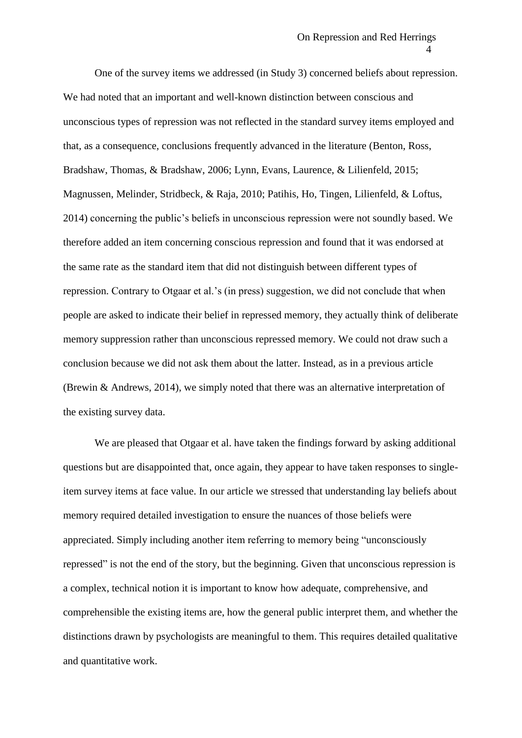One of the survey items we addressed (in Study 3) concerned beliefs about repression. We had noted that an important and well-known distinction between conscious and unconscious types of repression was not reflected in the standard survey items employed and that, as a consequence, conclusions frequently advanced in the literature (Benton, Ross, Bradshaw, Thomas, & Bradshaw, 2006; Lynn, Evans, Laurence, & Lilienfeld, 2015; Magnussen, Melinder, Stridbeck, & Raja, 2010; Patihis, Ho, Tingen, Lilienfeld, & Loftus, 2014) concerning the public's beliefs in unconscious repression were not soundly based. We therefore added an item concerning conscious repression and found that it was endorsed at the same rate as the standard item that did not distinguish between different types of repression. Contrary to Otgaar et al.'s (in press) suggestion, we did not conclude that when people are asked to indicate their belief in repressed memory, they actually think of deliberate memory suppression rather than unconscious repressed memory. We could not draw such a conclusion because we did not ask them about the latter. Instead, as in a previous article (Brewin & Andrews, 2014), we simply noted that there was an alternative interpretation of the existing survey data.

We are pleased that Otgaar et al. have taken the findings forward by asking additional questions but are disappointed that, once again, they appear to have taken responses to singleitem survey items at face value. In our article we stressed that understanding lay beliefs about memory required detailed investigation to ensure the nuances of those beliefs were appreciated. Simply including another item referring to memory being "unconsciously repressed" is not the end of the story, but the beginning. Given that unconscious repression is a complex, technical notion it is important to know how adequate, comprehensive, and comprehensible the existing items are, how the general public interpret them, and whether the distinctions drawn by psychologists are meaningful to them. This requires detailed qualitative and quantitative work.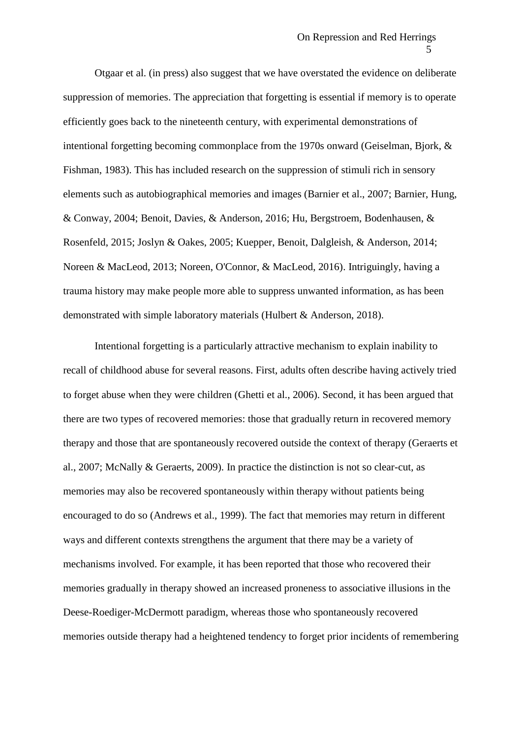Otgaar et al. (in press) also suggest that we have overstated the evidence on deliberate suppression of memories. The appreciation that forgetting is essential if memory is to operate efficiently goes back to the nineteenth century, with experimental demonstrations of intentional forgetting becoming commonplace from the 1970s onward (Geiselman, Bjork, & Fishman, 1983). This has included research on the suppression of stimuli rich in sensory elements such as autobiographical memories and images (Barnier et al., 2007; Barnier, Hung, & Conway, 2004; Benoit, Davies, & Anderson, 2016; Hu, Bergstroem, Bodenhausen, & Rosenfeld, 2015; Joslyn & Oakes, 2005; Kuepper, Benoit, Dalgleish, & Anderson, 2014; Noreen & MacLeod, 2013; Noreen, O'Connor, & MacLeod, 2016). Intriguingly, having a trauma history may make people more able to suppress unwanted information, as has been demonstrated with simple laboratory materials (Hulbert & Anderson, 2018).

Intentional forgetting is a particularly attractive mechanism to explain inability to recall of childhood abuse for several reasons. First, adults often describe having actively tried to forget abuse when they were children (Ghetti et al., 2006). Second, it has been argued that there are two types of recovered memories: those that gradually return in recovered memory therapy and those that are spontaneously recovered outside the context of therapy (Geraerts et al., 2007; McNally & Geraerts, 2009). In practice the distinction is not so clear-cut, as memories may also be recovered spontaneously within therapy without patients being encouraged to do so (Andrews et al., 1999). The fact that memories may return in different ways and different contexts strengthens the argument that there may be a variety of mechanisms involved. For example, it has been reported that those who recovered their memories gradually in therapy showed an increased proneness to associative illusions in the Deese-Roediger-McDermott paradigm, whereas those who spontaneously recovered memories outside therapy had a heightened tendency to forget prior incidents of remembering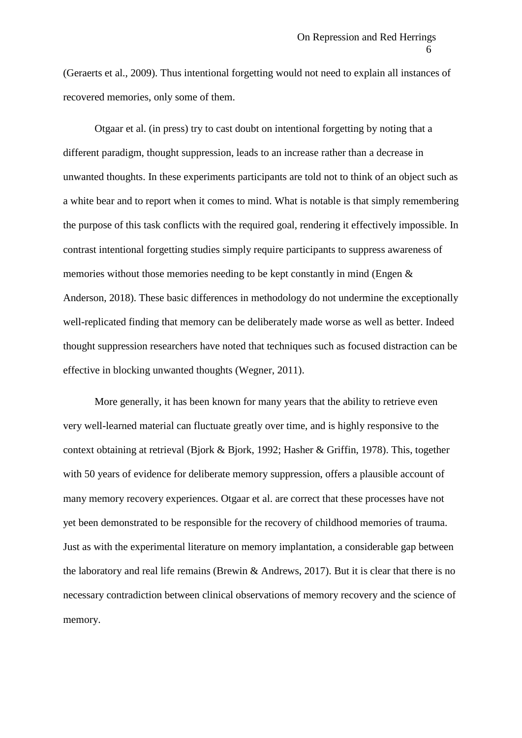(Geraerts et al., 2009). Thus intentional forgetting would not need to explain all instances of recovered memories, only some of them.

Otgaar et al. (in press) try to cast doubt on intentional forgetting by noting that a different paradigm, thought suppression, leads to an increase rather than a decrease in unwanted thoughts. In these experiments participants are told not to think of an object such as a white bear and to report when it comes to mind. What is notable is that simply remembering the purpose of this task conflicts with the required goal, rendering it effectively impossible. In contrast intentional forgetting studies simply require participants to suppress awareness of memories without those memories needing to be kept constantly in mind (Engen & Anderson, 2018). These basic differences in methodology do not undermine the exceptionally well-replicated finding that memory can be deliberately made worse as well as better. Indeed thought suppression researchers have noted that techniques such as focused distraction can be effective in blocking unwanted thoughts (Wegner, 2011).

More generally, it has been known for many years that the ability to retrieve even very well-learned material can fluctuate greatly over time, and is highly responsive to the context obtaining at retrieval (Bjork & Bjork, 1992; Hasher & Griffin, 1978). This, together with 50 years of evidence for deliberate memory suppression, offers a plausible account of many memory recovery experiences. Otgaar et al. are correct that these processes have not yet been demonstrated to be responsible for the recovery of childhood memories of trauma. Just as with the experimental literature on memory implantation, a considerable gap between the laboratory and real life remains (Brewin & Andrews, 2017). But it is clear that there is no necessary contradiction between clinical observations of memory recovery and the science of memory.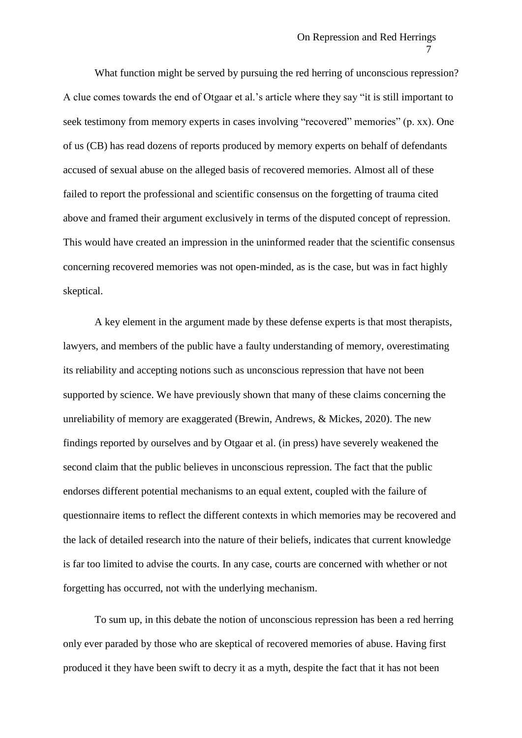What function might be served by pursuing the red herring of unconscious repression? A clue comes towards the end of Otgaar et al.'s article where they say "it is still important to seek testimony from memory experts in cases involving "recovered" memories" (p. xx). One of us (CB) has read dozens of reports produced by memory experts on behalf of defendants accused of sexual abuse on the alleged basis of recovered memories. Almost all of these failed to report the professional and scientific consensus on the forgetting of trauma cited above and framed their argument exclusively in terms of the disputed concept of repression. This would have created an impression in the uninformed reader that the scientific consensus concerning recovered memories was not open-minded, as is the case, but was in fact highly skeptical.

A key element in the argument made by these defense experts is that most therapists, lawyers, and members of the public have a faulty understanding of memory, overestimating its reliability and accepting notions such as unconscious repression that have not been supported by science. We have previously shown that many of these claims concerning the unreliability of memory are exaggerated (Brewin, Andrews, & Mickes, 2020). The new findings reported by ourselves and by Otgaar et al. (in press) have severely weakened the second claim that the public believes in unconscious repression. The fact that the public endorses different potential mechanisms to an equal extent, coupled with the failure of questionnaire items to reflect the different contexts in which memories may be recovered and the lack of detailed research into the nature of their beliefs, indicates that current knowledge is far too limited to advise the courts. In any case, courts are concerned with whether or not forgetting has occurred, not with the underlying mechanism.

To sum up, in this debate the notion of unconscious repression has been a red herring only ever paraded by those who are skeptical of recovered memories of abuse. Having first produced it they have been swift to decry it as a myth, despite the fact that it has not been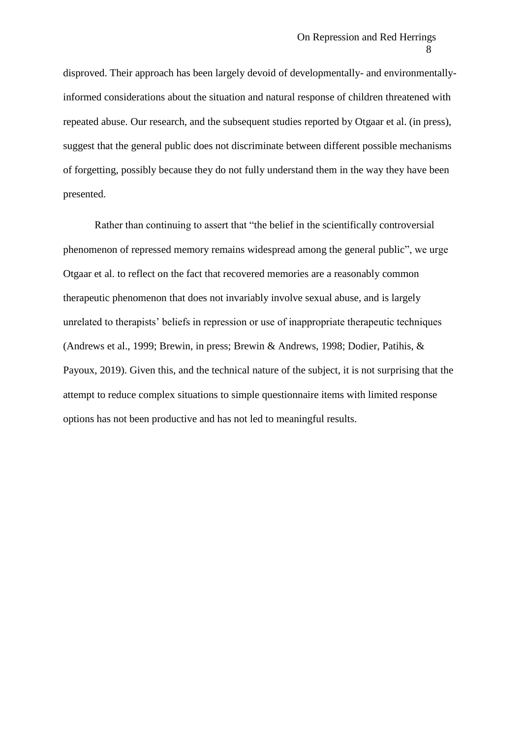disproved. Their approach has been largely devoid of developmentally- and environmentallyinformed considerations about the situation and natural response of children threatened with repeated abuse. Our research, and the subsequent studies reported by Otgaar et al. (in press), suggest that the general public does not discriminate between different possible mechanisms of forgetting, possibly because they do not fully understand them in the way they have been presented.

Rather than continuing to assert that "the belief in the scientifically controversial phenomenon of repressed memory remains widespread among the general public", we urge Otgaar et al. to reflect on the fact that recovered memories are a reasonably common therapeutic phenomenon that does not invariably involve sexual abuse, and is largely unrelated to therapists' beliefs in repression or use of inappropriate therapeutic techniques (Andrews et al., 1999; Brewin, in press; Brewin & Andrews, 1998; Dodier, Patihis, & Payoux, 2019). Given this, and the technical nature of the subject, it is not surprising that the attempt to reduce complex situations to simple questionnaire items with limited response options has not been productive and has not led to meaningful results.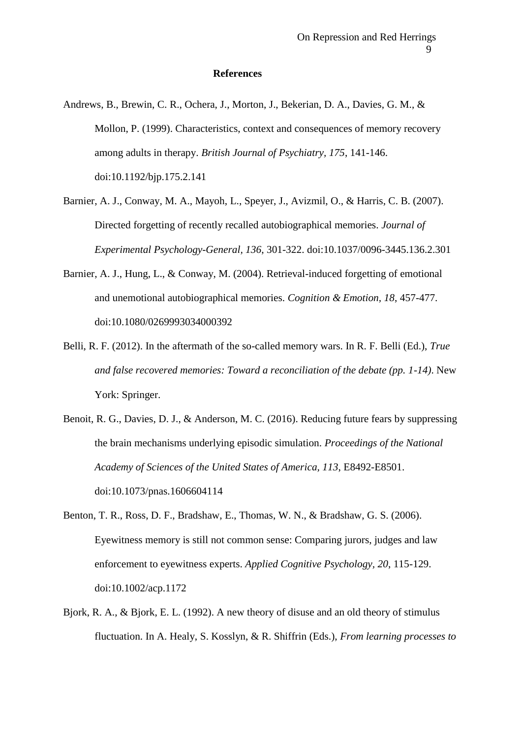## **References**

- Andrews, B., Brewin, C. R., Ochera, J., Morton, J., Bekerian, D. A., Davies, G. M., & Mollon, P. (1999). Characteristics, context and consequences of memory recovery among adults in therapy. *British Journal of Psychiatry, 175*, 141-146. doi:10.1192/bjp.175.2.141
- Barnier, A. J., Conway, M. A., Mayoh, L., Speyer, J., Avizmil, O., & Harris, C. B. (2007). Directed forgetting of recently recalled autobiographical memories. *Journal of Experimental Psychology-General, 136*, 301-322. doi:10.1037/0096-3445.136.2.301
- Barnier, A. J., Hung, L., & Conway, M. (2004). Retrieval-induced forgetting of emotional and unemotional autobiographical memories. *Cognition & Emotion, 18*, 457-477. doi:10.1080/0269993034000392
- Belli, R. F. (2012). In the aftermath of the so-called memory wars. In R. F. Belli (Ed.), *True and false recovered memories: Toward a reconciliation of the debate (pp. 1-14)*. New York: Springer.
- Benoit, R. G., Davies, D. J., & Anderson, M. C. (2016). Reducing future fears by suppressing the brain mechanisms underlying episodic simulation. *Proceedings of the National Academy of Sciences of the United States of America, 113*, E8492-E8501. doi:10.1073/pnas.1606604114
- Benton, T. R., Ross, D. F., Bradshaw, E., Thomas, W. N., & Bradshaw, G. S. (2006). Eyewitness memory is still not common sense: Comparing jurors, judges and law enforcement to eyewitness experts. *Applied Cognitive Psychology, 20*, 115-129. doi:10.1002/acp.1172
- Bjork, R. A., & Bjork, E. L. (1992). A new theory of disuse and an old theory of stimulus fluctuation. In A. Healy, S. Kosslyn, & R. Shiffrin (Eds.), *From learning processes to*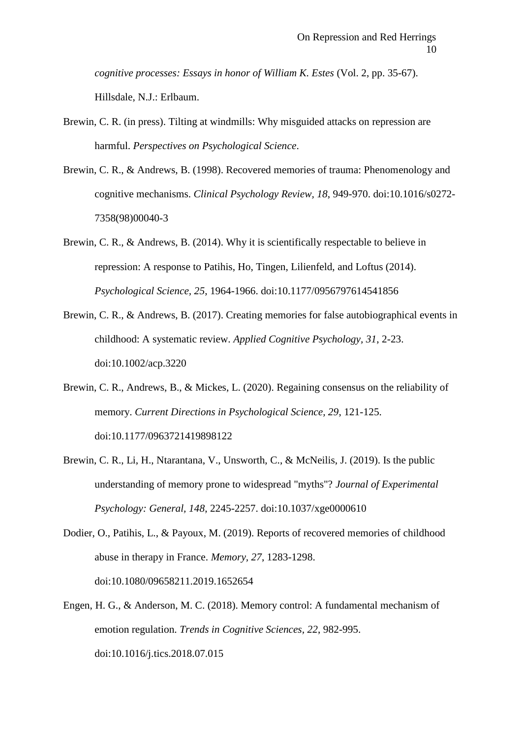*cognitive processes: Essays in honor of William K. Estes* (Vol. 2, pp. 35-67). Hillsdale, N.J.: Erlbaum.

- Brewin, C. R. (in press). Tilting at windmills: Why misguided attacks on repression are harmful. *Perspectives on Psychological Science*.
- Brewin, C. R., & Andrews, B. (1998). Recovered memories of trauma: Phenomenology and cognitive mechanisms. *Clinical Psychology Review, 18*, 949-970. doi:10.1016/s0272- 7358(98)00040-3
- Brewin, C. R., & Andrews, B. (2014). Why it is scientifically respectable to believe in repression: A response to Patihis, Ho, Tingen, Lilienfeld, and Loftus (2014). *Psychological Science, 25*, 1964-1966. doi:10.1177/0956797614541856
- Brewin, C. R., & Andrews, B. (2017). Creating memories for false autobiographical events in childhood: A systematic review. *Applied Cognitive Psychology, 31*, 2-23. doi:10.1002/acp.3220
- Brewin, C. R., Andrews, B., & Mickes, L. (2020). Regaining consensus on the reliability of memory. *Current Directions in Psychological Science, 29*, 121-125. doi:10.1177/0963721419898122
- Brewin, C. R., Li, H., Ntarantana, V., Unsworth, C., & McNeilis, J. (2019). Is the public understanding of memory prone to widespread "myths"? *Journal of Experimental Psychology: General, 148*, 2245-2257. doi:10.1037/xge0000610
- Dodier, O., Patihis, L., & Payoux, M. (2019). Reports of recovered memories of childhood abuse in therapy in France. *Memory, 27*, 1283-1298. doi:10.1080/09658211.2019.1652654
- Engen, H. G., & Anderson, M. C. (2018). Memory control: A fundamental mechanism of emotion regulation. *Trends in Cognitive Sciences, 22*, 982-995. doi:10.1016/j.tics.2018.07.015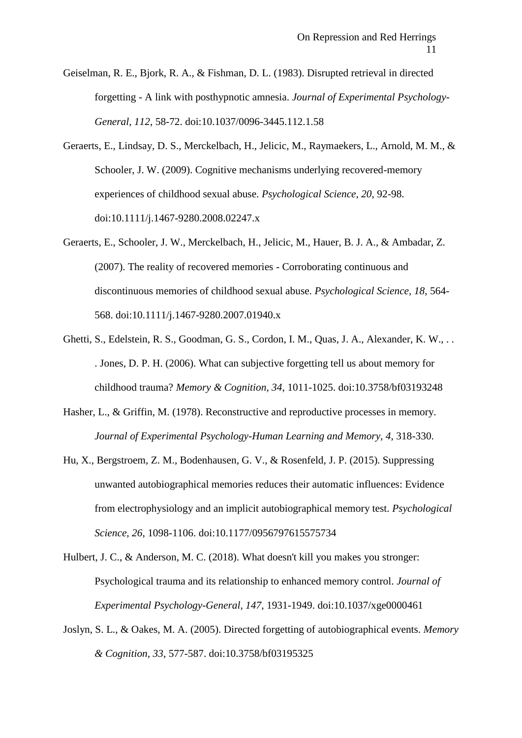- Geiselman, R. E., Bjork, R. A., & Fishman, D. L. (1983). Disrupted retrieval in directed forgetting - A link with posthypnotic amnesia. *Journal of Experimental Psychology-General, 112*, 58-72. doi:10.1037/0096-3445.112.1.58
- Geraerts, E., Lindsay, D. S., Merckelbach, H., Jelicic, M., Raymaekers, L., Arnold, M. M., & Schooler, J. W. (2009). Cognitive mechanisms underlying recovered-memory experiences of childhood sexual abuse. *Psychological Science, 20*, 92-98. doi:10.1111/j.1467-9280.2008.02247.x
- Geraerts, E., Schooler, J. W., Merckelbach, H., Jelicic, M., Hauer, B. J. A., & Ambadar, Z. (2007). The reality of recovered memories - Corroborating continuous and discontinuous memories of childhood sexual abuse. *Psychological Science, 18*, 564- 568. doi:10.1111/j.1467-9280.2007.01940.x
- Ghetti, S., Edelstein, R. S., Goodman, G. S., Cordon, I. M., Quas, J. A., Alexander, K. W., . . . Jones, D. P. H. (2006). What can subjective forgetting tell us about memory for childhood trauma? *Memory & Cognition, 34*, 1011-1025. doi:10.3758/bf03193248
- Hasher, L., & Griffin, M. (1978). Reconstructive and reproductive processes in memory. *Journal of Experimental Psychology-Human Learning and Memory, 4*, 318-330.
- Hu, X., Bergstroem, Z. M., Bodenhausen, G. V., & Rosenfeld, J. P. (2015). Suppressing unwanted autobiographical memories reduces their automatic influences: Evidence from electrophysiology and an implicit autobiographical memory test. *Psychological Science, 26*, 1098-1106. doi:10.1177/0956797615575734
- Hulbert, J. C., & Anderson, M. C. (2018). What doesn't kill you makes you stronger: Psychological trauma and its relationship to enhanced memory control. *Journal of Experimental Psychology-General, 147*, 1931-1949. doi:10.1037/xge0000461
- Joslyn, S. L., & Oakes, M. A. (2005). Directed forgetting of autobiographical events. *Memory & Cognition, 33*, 577-587. doi:10.3758/bf03195325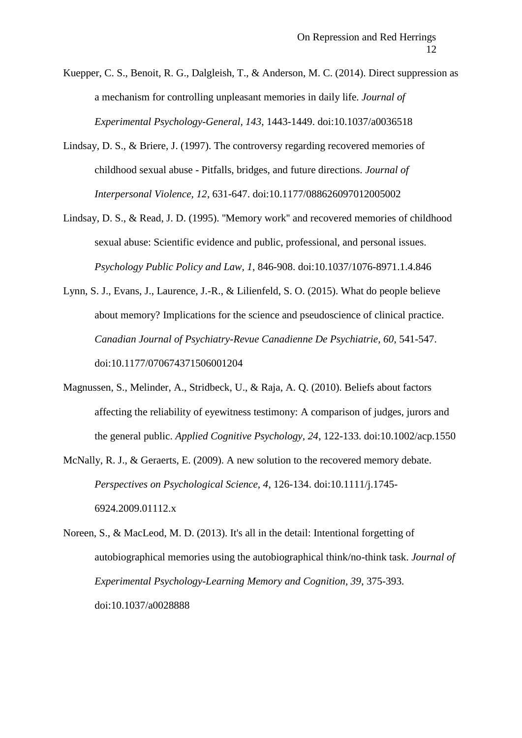Kuepper, C. S., Benoit, R. G., Dalgleish, T., & Anderson, M. C. (2014). Direct suppression as a mechanism for controlling unpleasant memories in daily life. *Journal of Experimental Psychology-General, 143*, 1443-1449. doi:10.1037/a0036518

- Lindsay, D. S., & Briere, J. (1997). The controversy regarding recovered memories of childhood sexual abuse - Pitfalls, bridges, and future directions. *Journal of Interpersonal Violence, 12*, 631-647. doi:10.1177/088626097012005002
- Lindsay, D. S., & Read, J. D. (1995). ''Memory work'' and recovered memories of childhood sexual abuse: Scientific evidence and public, professional, and personal issues. *Psychology Public Policy and Law, 1*, 846-908. doi:10.1037/1076-8971.1.4.846
- Lynn, S. J., Evans, J., Laurence, J.-R., & Lilienfeld, S. O. (2015). What do people believe about memory? Implications for the science and pseudoscience of clinical practice. *Canadian Journal of Psychiatry-Revue Canadienne De Psychiatrie, 60*, 541-547. doi:10.1177/070674371506001204
- Magnussen, S., Melinder, A., Stridbeck, U., & Raja, A. Q. (2010). Beliefs about factors affecting the reliability of eyewitness testimony: A comparison of judges, jurors and the general public. *Applied Cognitive Psychology, 24*, 122-133. doi:10.1002/acp.1550
- McNally, R. J., & Geraerts, E. (2009). A new solution to the recovered memory debate. *Perspectives on Psychological Science, 4*, 126-134. doi:10.1111/j.1745- 6924.2009.01112.x
- Noreen, S., & MacLeod, M. D. (2013). It's all in the detail: Intentional forgetting of autobiographical memories using the autobiographical think/no-think task. *Journal of Experimental Psychology-Learning Memory and Cognition, 39*, 375-393. doi:10.1037/a0028888